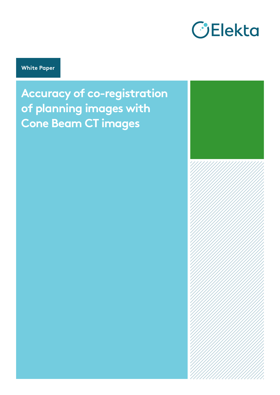

**White Paper**

**Accuracy of co-registration of planning images with Cone Beam CT images**

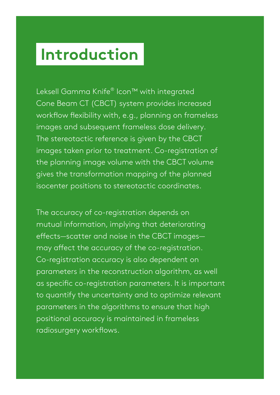# **Introduction**

Leksell Gamma Knife® Icon™ with integrated Cone Beam CT (CBCT) system provides increased workflow flexibility with, e.g., planning on frameless images and subsequent frameless dose delivery. The stereotactic reference is given by the CBCT images taken prior to treatment. Co-registration of the planning image volume with the CBCT volume gives the transformation mapping of the planned isocenter positions to stereotactic coordinates.

The accuracy of co-registration depends on mutual information, implying that deteriorating effects—scatter and noise in the CBCT images may affect the accuracy of the co-registration. Co-registration accuracy is also dependent on parameters in the reconstruction algorithm, as well as specific co-registration parameters. It is important to quantify the uncertainty and to optimize relevant parameters in the algorithms to ensure that high positional accuracy is maintained in frameless radiosurgery workflows.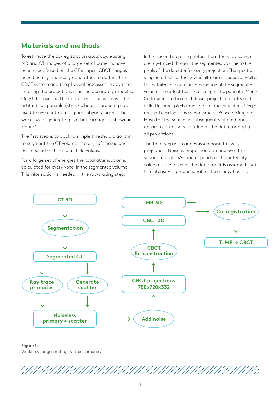## **Materials and methods**

To estimate the co-registration accuracy, existing MR and CT images of a large set of patients have been used. Based on the CT images, CBCT images have been synthetically generated. To do this, the CBCT system and the physical processes relevant to creating the projections must be accurately modeled. Only CTs covering the entire head and with as little artifacts as possible (streaks, beam hardening) are used to avoid introducing non-physical errors. The workflow of generating synthetic images is shown in Figure 1.

The first step is to apply a simple threshold algorithm to segment the CT volume into air, soft tissue and bone based on the Hounsfield values.

For a large set of energies the total attenuation is calculated for every voxel in the segmented volume. This information is needed in the ray-tracing step.

In the second step the photons from the x-ray source are ray-traced through the segmented volume to the pixels of the detector for every projection. The spectral shaping effects of the bowtie filter are included, as well as the detailed attenuation information of the segmented volume. The effect from scattering in the patient is Monte Carlo simulated in much fewer projection angles and tallied in larger pixels than in the actual detector. Using a method developed by G. Bootsma at Princess Margaret Hospital<sup>1</sup> the scatter is subsequently filtered and upsampled to the resolution of the detector and to all projections.

The third step is to add Poisson noise to every projection. Noise is proportional to one over the square root of mAs and depends on the intensity value at each pixel of the detector. It is assumed that the intensity is proportional to the energy fluence.



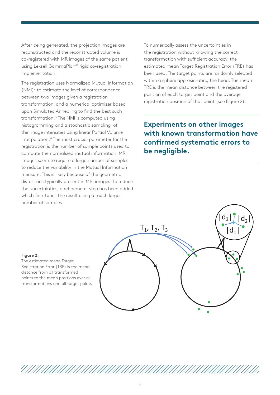After being generated, the projection images are reconstructed and the reconstructed volume is co-registered with MR images of the same patient using Leksell GammaPlan® rigid co-registration implementation.

The registration uses Normalized Mutual Information (NMI)2 to estimate the level of correspondence between two images given a registration transformation, and a numerical optimizer based upon Simulated Annealing to find the best such transformation.3 The NMI is computed using histogramming and a stochastic sampling of the image intensities using linear Partial Volume Interpolation.4 The most crucial parameter for the registration is the number of sample points used to compute the normalized mutual information. MRI images seem to require a large number of samples to reduce the variability in the Mutual Information measure. This is likely because of the geometric distortions typically present in MRI images. To reduce the uncertainties, a refinement-step has been added which fine-tunes the result using a much larger number of samples.

To numerically assess the uncertainties in the registration without knowing the correct transformation with sufficient accuracy, the estimated mean Target Registration Error (TRE) has been used. The target points are randomly selected within a sphere approximating the head. The mean TRE is the mean distance between the registered position of each target point and the average registration position of that point (see Figure 2).

**Experiments on other images with known transformation have confirmed systematic errors to be negligible.**

### **Figure 2.**

The estimated mean Target Registration Error (TRE) is the mean distance from all transformed points to the mean positions over all transformations and all target points

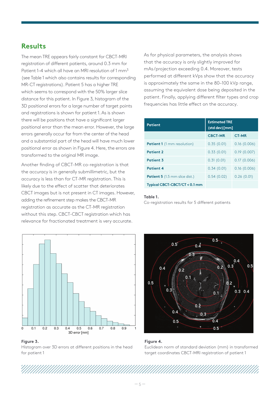### **Results**

The mean TRE appears fairly constant for CBCT-MRI registration of different patients, around 0.3 mm for Patient 1–4 which all have an MRI resolution of 1 mm<sup>3</sup> (see Table 1 which also contains results for corresponding MR-CT registrations). Patient 5 has a higher TRE which seems to correspond with the 50% larger slice distance for this patient. In Figure 3, histogram of the 3D positional errors for a large number of target points and registrations is shown for patient 1. As is shown there will be positions that have a significant larger positional error than the mean error. However, the large errors generally occur far from the center of the head and a substantial part of the head will have much lower positional error as shown in Figure 4. Here, the errors are transformed to the original MR image.

Another finding of CBCT-MR co-registration is that the accuracy is in generally submillimetric, but the accuracy is less than for CT-MR registration. This is likely due to the effect of scatter that deteriorates CBCT images but is not present in CT images. However, adding the refinement step makes the CBCT-MR registration as accurate as the CT-MR registration without this step. CBCT-CBCT registration which has relevance for fractionated treatment is very accurate.



**Figure 3.** Histogram over 3D errors at different positions in the head for patient 1

As for physical parameters, the analysis shows that the accuracy is only slightly improved for mAs/projection exceeding 0.4. Moreover, tests performed at different kVps show that the accuracy is approximately the same in the 80–100 kVp range, assuming the equivalent dose being deposited in the patient. Finally, applying different filter types and crop frequencies has little effect on the accuracy.

| <b>Patient</b>                        | <b>Estimated TRE</b><br>(std dev) [mm] |              |
|---------------------------------------|----------------------------------------|--------------|
|                                       | <b>CBCT-MR</b>                         | <b>CT-MR</b> |
| <b>Patient 1</b> (1 mm resolution)    | 0.35(0.01)                             | 0.16(0.006)  |
| <b>Patient 2</b>                      | 0.33(0.01)                             | 0.19(0.007)  |
| <b>Patient 3</b>                      | 0.31(0.01)                             | 0.17(0.006)  |
| <b>Patient 4</b>                      | 0.34(0.01)                             | 0.16(0.006)  |
| <b>Patient 5</b> (1.5 mm slice dist.) | 0.54(0.02)                             | 0.26(0.01)   |
| Typical CBCT-CBCT/CT < 0.1 mm         |                                        |              |

### **Table 1.**

Co-registration results for 5 different patients





Euclidean norm of standard deviation (mm) in transformed target coordinates CBCT-MRI registration of patient 1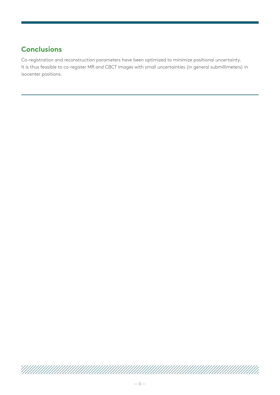# **Conclusions**

Co-registration and reconstruction parameters have been optimized to minimize positional uncertainty. It is thus feasible to co-register MR and CBCT images with small uncertainties (in general submillimeters) in isocenter positions.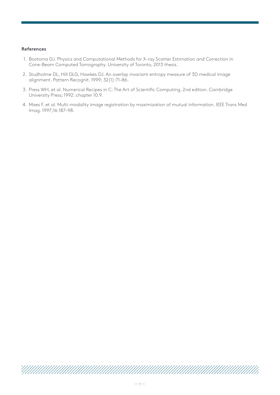### **References**

- 1. Bootsma GJ. Physics and Computational Methods for X-ray Scatter Estimation and Correction in Cone-Beam Computed Tomography. University of Toronto, 2013 thesis.
- 2. Studholme DL, Hill DLG, Hawkes DJ. An overlap invariant entropy measure of 3D medical image alignment. Pattern Recognit. 1999; 32(1):71–86.
- 3. Press WH, et al. Numerical Recipes in C: The Art of Scientific Computing. 2nd edition. Cambridge University Press; 1992: chapter 10.9.
- 4. Maes F, et al. Multi-modality image registration by maximization of mutual information. IEEE Trans Med Imag. 1997;16:187–98.